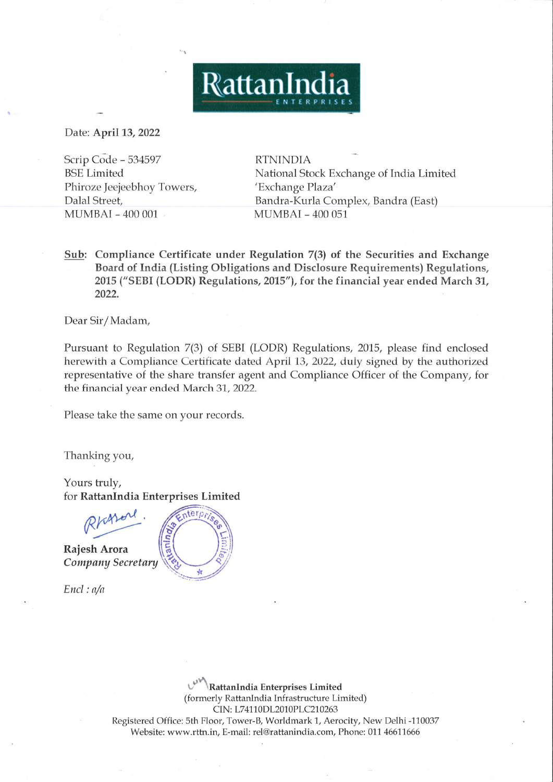Date: April 13, <sup>2022</sup>

Scrip Code - 534597 RTNINDIA **BSE** Limited Phiroze Jeejeebhoy Towers, 'Exchange Plaza' Dalal Street, MUMBAI - 400 001

National Stock Exchange of India Limited<br>'Exchange Plaza' Bandra-Kurla Complex, Bandra (East) MUMBAI-400 051

Sub: Compliance Certificate under Regulation 7(3) of the Securities and Exchange Boardof India (Listing Obligations and Disclosure Requirements) Regulations, 2015 ("SEBI (LODR) Regulations, 2015"), for the financial year ended March31, 2022.

RattanIndia

Dear Sir/Madam,

Pursuant to Regulation 7(3) of SEBI (LODR) Regulations, 2015, please find enclosed herewith <sup>a</sup> Compliance Certificate dated April 13, 2022, duly signed by the authorized representative of the share transfer agent and Compliance Officer of the Company, for the financial year ended March 31, 2022.

Please take the same on your records.

Thanking you,

Yours truly, for RattanIndia Enterprises Limited



 $\mathcal{A}^{(1)}_{\mathcal{A}}$  ,  $\mathcal{A}^{(2)}_{\mathcal{A}}$ 

Rajesh Arora Company Secretary

Encl : a/a

th Floor, Tower-B, Worldmark 1, Aerocity,<br>rttn.in, E-mail: rel@rattanindia.com, Phone<br>...<br>...  $\mathcal{C}^{\mathcal{V}}$  \*\ RattanIndia Enterprises Limited (formerly RattanIndia Infrastructure Limited) CIN: L74110DL2010PLC210263 Registered Office: 5th Floor, Tower-B, Worldmark1, Aerocity, New Delhi -110037 Website: www.rttn.in, E-mail: rel@rattanindia.com, Phone: <sup>011</sup> <sup>46611666</sup>